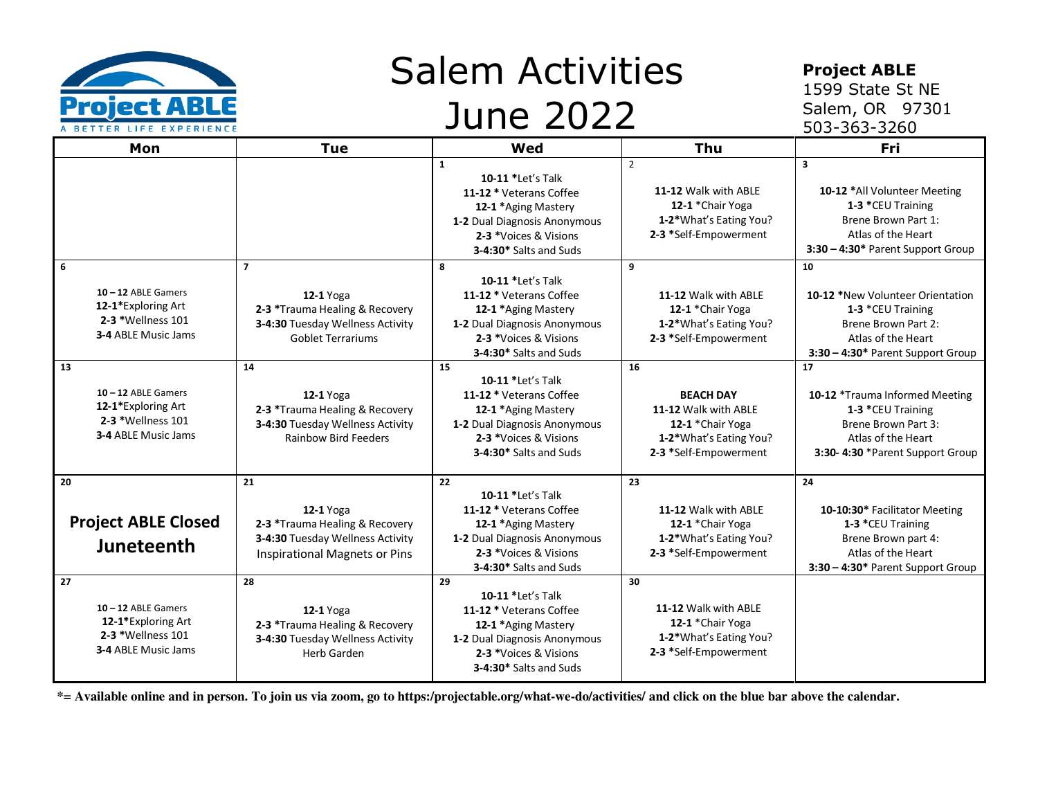

## Salem Activities June 2022

## **Project ABLE**

1599 State St NE Salem, OR 97301 503-363-3260

| Mon                                                                                           | Tue                                                                                                                                        | Wed                                                                                                                                                                       | Thu                                                                                                                   | Fri                                                                                                                                                            |
|-----------------------------------------------------------------------------------------------|--------------------------------------------------------------------------------------------------------------------------------------------|---------------------------------------------------------------------------------------------------------------------------------------------------------------------------|-----------------------------------------------------------------------------------------------------------------------|----------------------------------------------------------------------------------------------------------------------------------------------------------------|
|                                                                                               |                                                                                                                                            | $\mathbf{1}$<br>10-11 *Let's Talk<br>11-12 * Veterans Coffee<br>12-1 *Aging Mastery<br>1-2 Dual Diagnosis Anonymous<br>2-3 *Voices & Visions<br>3-4:30* Salts and Suds    | $\overline{2}$<br>11-12 Walk with ABLE<br>12-1 *Chair Yoga<br>1-2*What's Eating You?<br>2-3 *Self-Empowerment         | $\overline{\mathbf{3}}$<br>10-12 *All Volunteer Meeting<br>1-3 *CEU Training<br>Brene Brown Part 1:<br>Atlas of the Heart<br>3:30 - 4:30* Parent Support Group |
| 6<br>$10 - 12$ ABLE Gamers<br>12-1*Exploring Art<br>2-3 *Wellness 101<br>3-4 ABLE Music Jams  | $\overline{7}$<br><b>12-1</b> Yoga<br>2-3 *Trauma Healing & Recovery<br>3-4:30 Tuesday Wellness Activity<br><b>Goblet Terrariums</b>       | 8<br>10-11 *Let's Talk<br>11-12 * Veterans Coffee<br>12-1 *Aging Mastery<br>1-2 Dual Diagnosis Anonymous<br>2-3 *Voices & Visions<br>3-4:30* Salts and Suds               | 9<br>11-12 Walk with ABLE<br>12-1 *Chair Yoga<br>1-2*What's Eating You?<br>2-3 *Self-Empowerment                      | 10<br>10-12 *New Volunteer Orientation<br>1-3 *CEU Training<br>Brene Brown Part 2:<br>Atlas of the Heart<br>3:30 - 4:30* Parent Support Group                  |
| 13<br>$10 - 12$ ABLE Gamers<br>12-1*Exploring Art<br>2-3 *Wellness 101<br>3-4 ABLE Music Jams | 14<br>$12-1$ Yoga<br>2-3 *Trauma Healing & Recovery<br>3-4:30 Tuesday Wellness Activity<br><b>Rainbow Bird Feeders</b>                     | 15<br>10-11 *Let's Talk<br>11-12 * Veterans Coffee<br>12-1 *Aging Mastery<br>1-2 Dual Diagnosis Anonymous<br>2-3 *Voices & Visions<br>3-4:30* Salts and Suds              | 16<br><b>BEACH DAY</b><br>11-12 Walk with ABLE<br>12-1 *Chair Yoga<br>1-2*What's Eating You?<br>2-3 *Self-Empowerment | 17<br>10-12 *Trauma Informed Meeting<br>1-3 *CEU Training<br>Brene Brown Part 3:<br>Atlas of the Heart<br>3:30-4:30 *Parent Support Group                      |
| 20<br><b>Project ABLE Closed</b><br>Juneteenth<br>27                                          | 21<br><b>12-1</b> Yoga<br>2-3 *Trauma Healing & Recovery<br>3-4:30 Tuesday Wellness Activity<br><b>Inspirational Magnets or Pins</b><br>28 | 22<br><b>10-11 *Let's Talk</b><br>11-12 * Veterans Coffee<br>12-1 *Aging Mastery<br>1-2 Dual Diagnosis Anonymous<br>2-3 *Voices & Visions<br>3-4:30* Salts and Suds<br>29 | 23<br>11-12 Walk with ABLE<br>12-1 *Chair Yoga<br>1-2*What's Eating You?<br>2-3 *Self-Empowerment<br>30               | 24<br>10-10:30* Facilitator Meeting<br>1-3 *CEU Training<br>Brene Brown part 4:<br>Atlas of the Heart<br>3:30 - 4:30* Parent Support Group                     |
| $10 - 12$ ABLE Gamers<br>12-1*Exploring Art<br>2-3 *Wellness 101<br>3-4 ABLE Music Jams       | <b>12-1</b> Yoga<br>2-3 *Trauma Healing & Recovery<br>3-4:30 Tuesday Wellness Activity<br><b>Herb Garden</b>                               | 10-11 *Let's Talk<br>11-12 * Veterans Coffee<br>12-1 *Aging Mastery<br>1-2 Dual Diagnosis Anonymous<br>2-3 *Voices & Visions<br>3-4:30* Salts and Suds                    | 11-12 Walk with ABLE<br>12-1 *Chair Yoga<br>1-2*What's Eating You?<br>2-3 *Self-Empowerment                           |                                                                                                                                                                |

 **\*= Available online and in person. To join us via zoom, go to https:/projectable.org/what-we-do/activities/ and click on the blue bar above the calendar.**